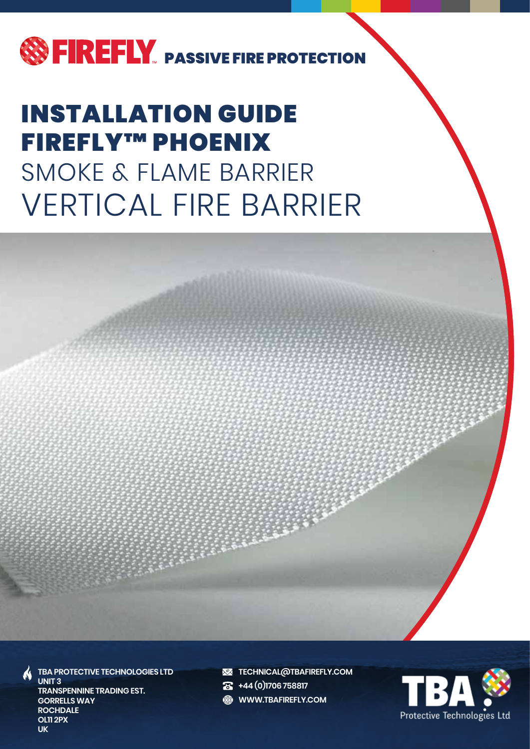

## VERTICAL FIRE BARRIER INSTALLATION GUIDE FIREFLY™ PHOENIX SMOKE & FLAME BARRIER

**TBA PROTECTIVE TECHNOLOGIES LTD UNIT 3 TRANSPENNINE TRADING EST. GORRELLS WAY ROCHDALE OL11 2PX UK**

**XX TECHNICAL@TBAFIREFLY.COM** 

- **+44 (0)1706 758817**
- **WWW.TBAFIREFLY.COM**

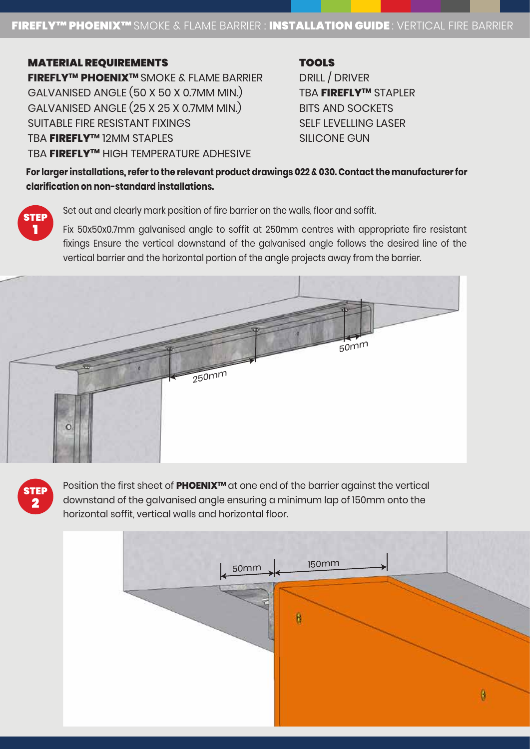## MATERIAL REQUIREMENTS

**FIREFLYTM PHOENIXTM** SMOKE & FLAME BARRIER GALVANISED ANGLE (50 X 50 X 0.7MM MIN.) GALVANISED ANGLE (25 X 25 X 0.7MM MIN.) SUITABLE FIRE RESISTANT FIXINGS TBA **FIREFLYT<sup>M</sup>** 12MM STAPLES TBA **FIREFLYTM** HIGH TEMPERATURE ADHESIVE

## **TOOLS**

DRILL / DRIVER TBA **FIREFLYTM** STAPLER BITS AND SOCKETS SELF LEVELLING LASER SILICONE GUN

## **For larger installations, refer to the relevant product drawings 022 & 030. Contact the manufacturer for clarification on non-standard installations.**



Set out and clearly mark position of fire barrier on the walls, floor and soffit.

Fix 50x50x0.7mm galvanised angle to soffit at 250mm centres with appropriate fire resistant fixings Ensure the vertical downstand of the galvanised angle follows the desired line of the vertical barrier and the horizontal portion of the angle projects away from the barrier.





Position the first sheet of **PHOENIXTM** at one end of the barrier against the vertical downstand of the galvanised angle ensuring a minimum lap of 150mm onto the horizontal soffit, vertical walls and horizontal floor.

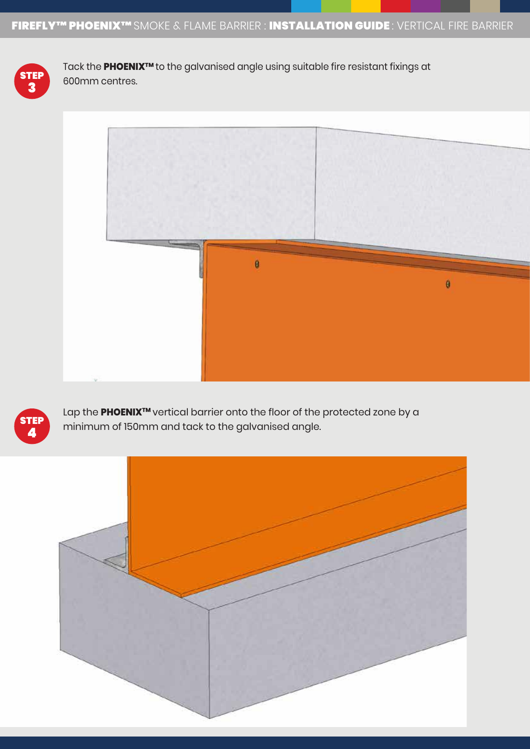

Tack the **PHOENIXTM** to the galvanised angle using suitable fire resistant fixings at 600mm centres.





Lap the PHOENIX<sup>™</sup> vertical barrier onto the floor of the protected zone by a minimum of 150mm and tack to the galvanised angle.

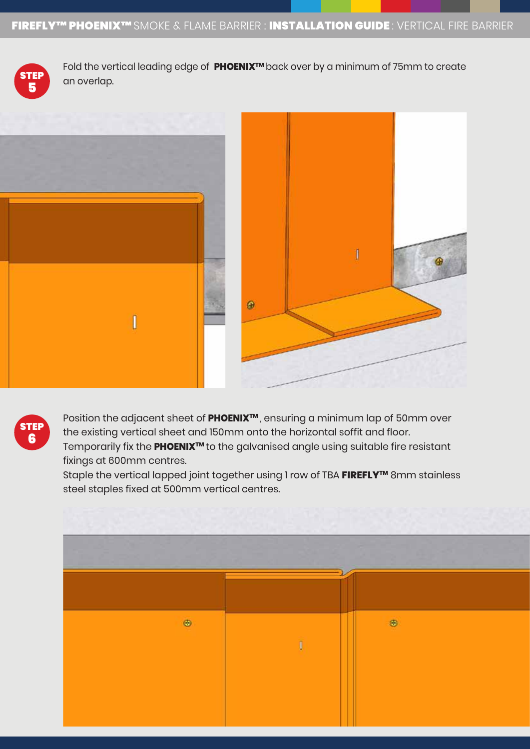

Fold the vertical leading edge of **PHOENIXTM** back over by a minimum of 75mm to create  $\Gamma$  an overlap.







Position the adjacent sheet of PHOENIX<sup>™</sup>, ensuring a minimum lap of 50mm over the existing vertical sheet and 150mm onto the horizontal soffit and floor. Temporarily fix the **PHOENIXTM** to the galvanised angle using suitable fire resistant fixings at 600mm centres.

Staple the vertical lapped joint together using 1 row of TBA FIREFLY<sup>™</sup> 8mm stainless steel staples fixed at 500mm vertical centres.

| $\circledast$ | $\circledast$ |
|---------------|---------------|
|               |               |
|               |               |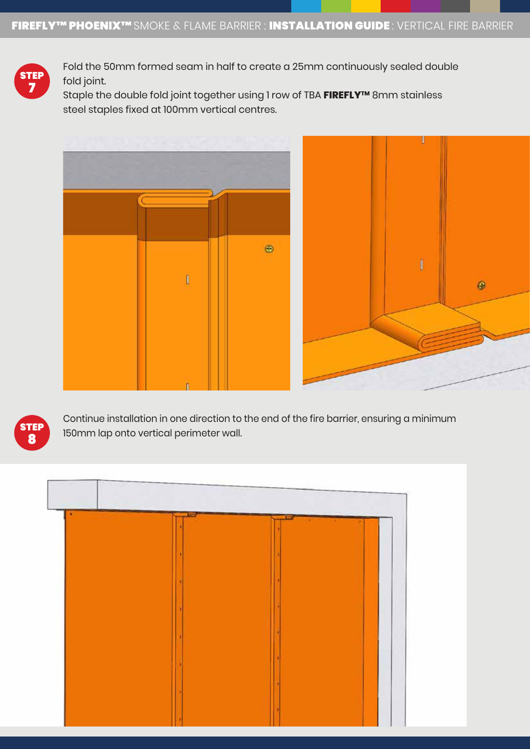

Fold the 50mm formed seam in half to create a 25mm continuously sealed double fold joint.

Staple the double fold joint together using 1 row of TBA FIREFLY<sup>™</sup> 8mm stainless steel staples fixed at 100mm vertical centres.





Continue installation in one direction to the end of the fire barrier, ensuring a minimum 150mm lap onto vertical perimeter wall.

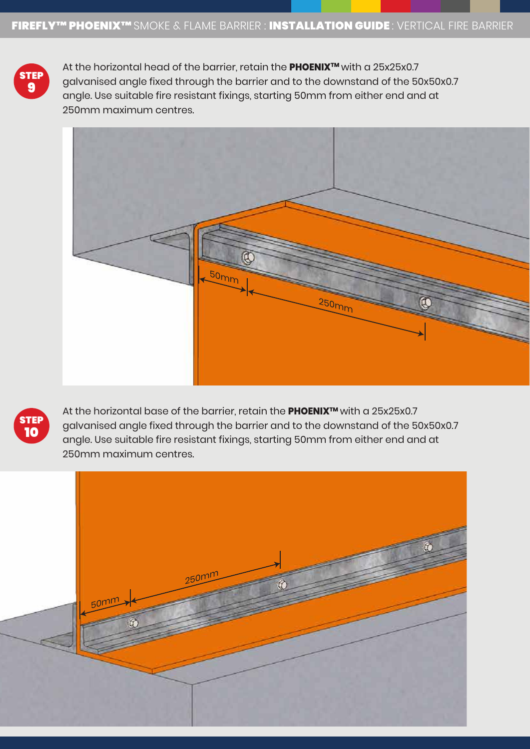

At the horizontal head of the barrier, retain the **PHOENIXTM** with a 25x25x0.7 galvanised angle fixed through the barrier and to the downstand of the 50x50x0.7 angle. Use suitable fire resistant fixings, starting 50mm from either end and at 250mm maximum centres.





At the horizontal base of the barrier, retain the **PHOENIXTM** with a 25x25x0.7 galvanised angle fixed through the barrier and to the downstand of the 50x50x0.7 angle. Use suitable fire resistant fixings, starting 50mm from either end and at 250mm maximum centres.

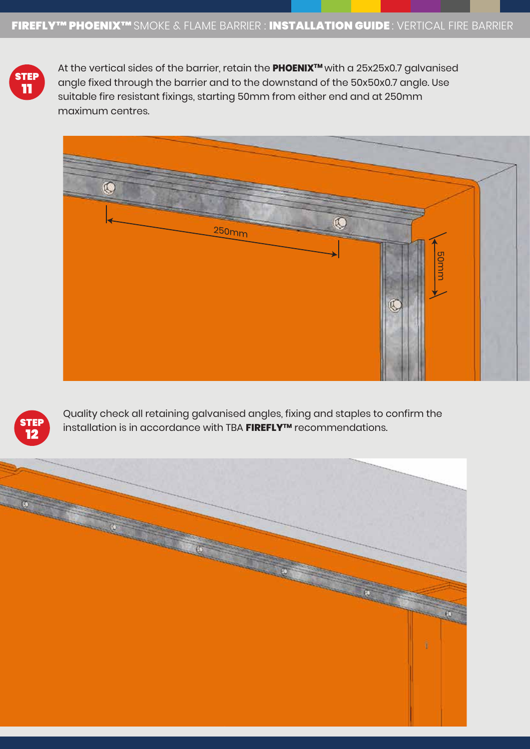

At the vertical sides of the barrier, retain the **PHOENIXTM** with a 25x25x0.7 galvanised angle fixed through the barrier and to the downstand of the 50x50x0.7 angle. Use suitable fire resistant fixings, starting 50mm from either end and at 250mm maximum centres.





Quality check all retaining galvanised angles, fixing and staples to confirm the installation is in accordance with TBA FIREFLY™ recommendations.

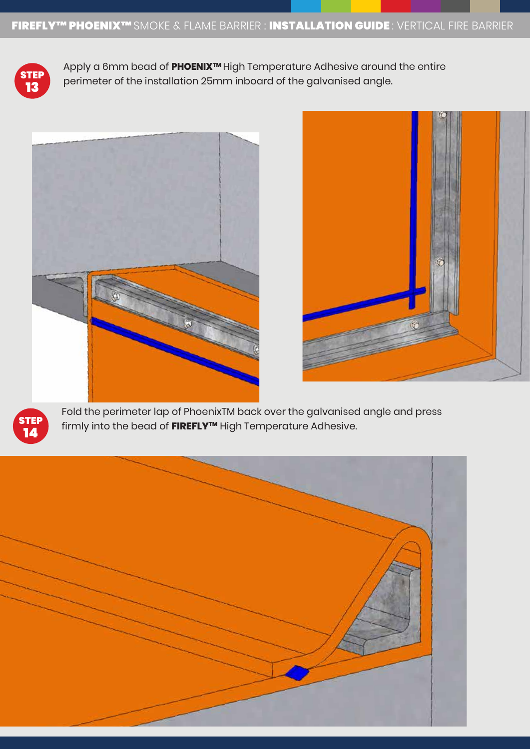

Apply a 6mm bead of **PHOENIXTM** High Temperature Adhesive around the entire perimeter of the installation 25mm inboard of the galvanised angle.







Fold the perimeter lap of PhoenixTM back over the galvanised angle and press firmly into the bead of FIREFLY<sup>™</sup> High Temperature Adhesive.